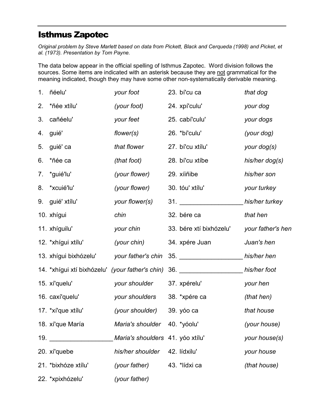## Isthmus Zapotec

Original problem by Steve Marlett based on data from Pickett, Black and Cerqueda (1998) and Picket, et al. (1973). Presentation by Tom Payne.

The data below appear in the official spelling of Isthmus Zapotec. Word division follows the sources. Some items are indicated with an asterisk because they are not grammatical for the meaning indicated, though they may have some other non-systematically derivable meaning.

|    | 1. ñéelu'                                       | your foot                        | 23. bí'cu ca                                 | that dog          |
|----|-------------------------------------------------|----------------------------------|----------------------------------------------|-------------------|
| 2. | *ñée xtílu'                                     | (your foot)                      | 24. xpí'culu'                                | your dog          |
| 3. | cañéelu'                                        | your feet                        | 25. cabí'culu'                               | your dogs         |
| 4. | guié'                                           | flower(s)                        | 26. *bí'culu'                                | (your dog)        |
| 5. | guié' ca                                        | that flower                      | 27. bí'cu xtílu'                             | your dog(s)       |
| 6. | *ñée ca                                         | (that foot)                      | 28. bí'cu xtíbe                              | his/her $dog(s)$  |
|    | 7. *guié'lu'                                    | (your flower)                    | 29. xíiñibe                                  | his/her son       |
|    | 8. *xcuié'lu'                                   | (your flower)                    | 30. tóu' xtílu'                              | your turkey       |
|    | 9. guié' xtílu'                                 | your flower(s)                   |                                              | his/her turkey    |
|    | 10. xhígui                                      | chin                             | 32. bére ca                                  | that hen          |
|    | 11. xhíguilu'                                   | your chin                        | 33. bére xtí bixhózelu'                      | your father's hen |
|    | 12. *xhígui xtílu'                              | (your chin)                      | 34. xpére Juan                               | Juan's hen        |
|    | 13. xhígui bixhózelu'                           | your father's chin               | 35. _______________________his/her hen       |                   |
|    | 14. *xhígui xtí bixhózelu' (your father's chin) |                                  | 36. ____________________________his/her foot |                   |
|    | 15. xí'quelu'                                   | your shoulder                    | 37. xpérelu'                                 | your hen          |
|    | 16. caxí'quelu'                                 | your shoulders                   | 38. *xpére ca                                | (that hen)        |
|    | 17. *xí'que xtílu'                              | (your shoulder)                  | 39. убо са                                   | that house        |
|    | 18. xí'que María                                | Maria's shoulder 40. *yóolu'     |                                              | (your house)      |
|    | 19. $\sqrt{ }$                                  | Maria's shoulders 41. yóo xtílu' |                                              | your house(s)     |
|    | 20. xí'quebe                                    | his/her shoulder                 | 42. lídxilu'                                 | your house        |
|    | 21. *bixhóze xtílu'                             | (your father)                    | 43. *lídxi ca                                | (that house)      |
|    | 22. *xpixhózelu'                                | (your father)                    |                                              |                   |